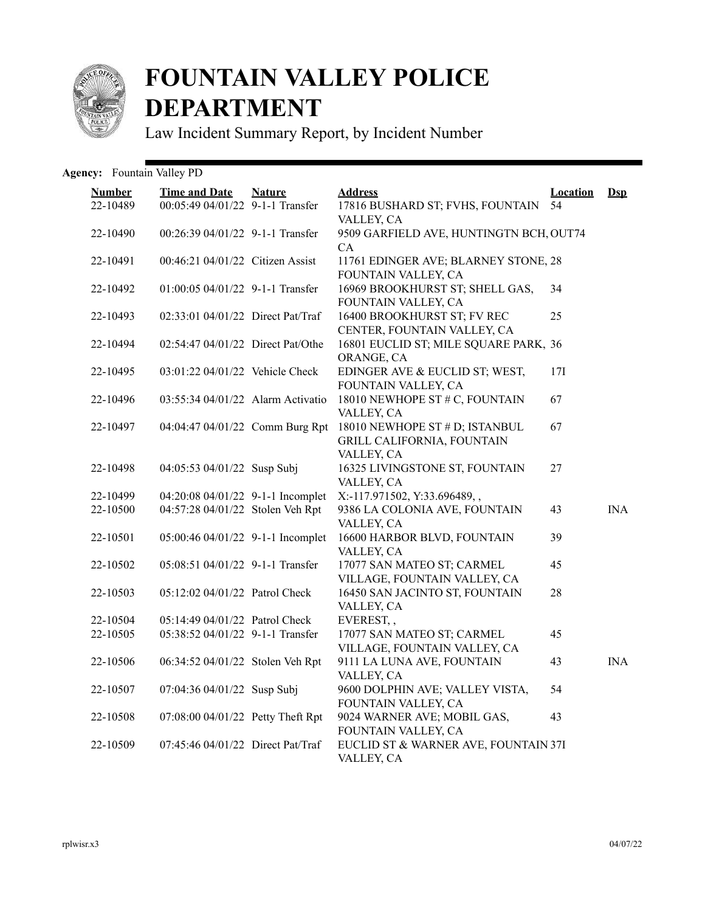

## **FOUNTAIN VALLEY POLICE DEPARTMENT**

Law Incident Summary Report, by Incident Number

Agency: Fountain Valley PD

| <b>Number</b><br>22-10489 | <b>Time and Date</b><br>00:05:49 04/01/22 9-1-1 Transfer | <b>Nature</b> | <b>Address</b><br>17816 BUSHARD ST; FVHS, FOUNTAIN                                | <b>Location</b><br>54 | $Ds$       |
|---------------------------|----------------------------------------------------------|---------------|-----------------------------------------------------------------------------------|-----------------------|------------|
| 22-10490                  | 00:26:39 04/01/22 9-1-1 Transfer                         |               | VALLEY, CA<br>9509 GARFIELD AVE, HUNTINGTN BCH, OUT74<br>CA                       |                       |            |
| 22-10491                  | 00:46:21 04/01/22 Citizen Assist                         |               | 11761 EDINGER AVE; BLARNEY STONE, 28<br>FOUNTAIN VALLEY, CA                       |                       |            |
| 22-10492                  | $01:00:05$ $04/01/22$ 9-1-1 Transfer                     |               | 16969 BROOKHURST ST; SHELL GAS,<br>FOUNTAIN VALLEY, CA                            | 34                    |            |
| 22-10493                  | 02:33:01 04/01/22 Direct Pat/Traf                        |               | 16400 BROOKHURST ST; FV REC<br>CENTER, FOUNTAIN VALLEY, CA                        | 25                    |            |
| 22-10494                  | 02:54:47 04/01/22 Direct Pat/Othe                        |               | 16801 EUCLID ST; MILE SQUARE PARK, 36<br>ORANGE, CA                               |                       |            |
| 22-10495                  | 03:01:22 04/01/22 Vehicle Check                          |               | EDINGER AVE & EUCLID ST; WEST,<br>FOUNTAIN VALLEY, CA                             | 17I                   |            |
| 22-10496                  | 03:55:34 04/01/22 Alarm Activatio                        |               | 18010 NEWHOPE ST # C, FOUNTAIN<br>VALLEY, CA                                      | 67                    |            |
| 22-10497                  | 04:04:47 04/01/22 Comm Burg Rpt                          |               | 18010 NEWHOPE ST # D; ISTANBUL<br><b>GRILL CALIFORNIA, FOUNTAIN</b><br>VALLEY, CA | 67                    |            |
| 22-10498                  | 04:05:53 04/01/22 Susp Subj                              |               | 16325 LIVINGSTONE ST, FOUNTAIN<br>VALLEY, CA                                      | 27                    |            |
| 22-10499                  | 04:20:08 04/01/22 9-1-1 Incomplet                        |               | X:-117.971502, Y:33.696489,,                                                      |                       |            |
| 22-10500                  | 04:57:28 04/01/22 Stolen Veh Rpt                         |               | 9386 LA COLONIA AVE, FOUNTAIN<br>VALLEY, CA                                       | 43                    | <b>INA</b> |
| 22-10501                  | 05:00:46 04/01/22 9-1-1 Incomplet                        |               | 16600 HARBOR BLVD, FOUNTAIN<br>VALLEY, CA                                         | 39                    |            |
| 22-10502                  | 05:08:51 04/01/22 9-1-1 Transfer                         |               | 17077 SAN MATEO ST; CARMEL<br>VILLAGE, FOUNTAIN VALLEY, CA                        | 45                    |            |
| 22-10503                  | 05:12:02 04/01/22 Patrol Check                           |               | 16450 SAN JACINTO ST, FOUNTAIN<br>VALLEY, CA                                      | 28                    |            |
| 22-10504                  | 05:14:49 04/01/22 Patrol Check                           |               | EVEREST,,                                                                         |                       |            |
| 22-10505                  | 05:38:52 04/01/22 9-1-1 Transfer                         |               | 17077 SAN MATEO ST; CARMEL<br>VILLAGE, FOUNTAIN VALLEY, CA                        | 45                    |            |
| 22-10506                  | 06:34:52 04/01/22 Stolen Veh Rpt                         |               | 9111 LA LUNA AVE, FOUNTAIN<br>VALLEY, CA                                          | 43                    | <b>INA</b> |
| 22-10507                  | 07:04:36 04/01/22 Susp Subj                              |               | 9600 DOLPHIN AVE; VALLEY VISTA,<br>FOUNTAIN VALLEY, CA                            | 54                    |            |
| 22-10508                  | 07:08:00 04/01/22 Petty Theft Rpt                        |               | 9024 WARNER AVE; MOBIL GAS,<br>FOUNTAIN VALLEY, CA                                | 43                    |            |
| 22-10509                  | 07:45:46 04/01/22 Direct Pat/Traf                        |               | EUCLID ST & WARNER AVE, FOUNTAIN 37I<br>VALLEY, CA                                |                       |            |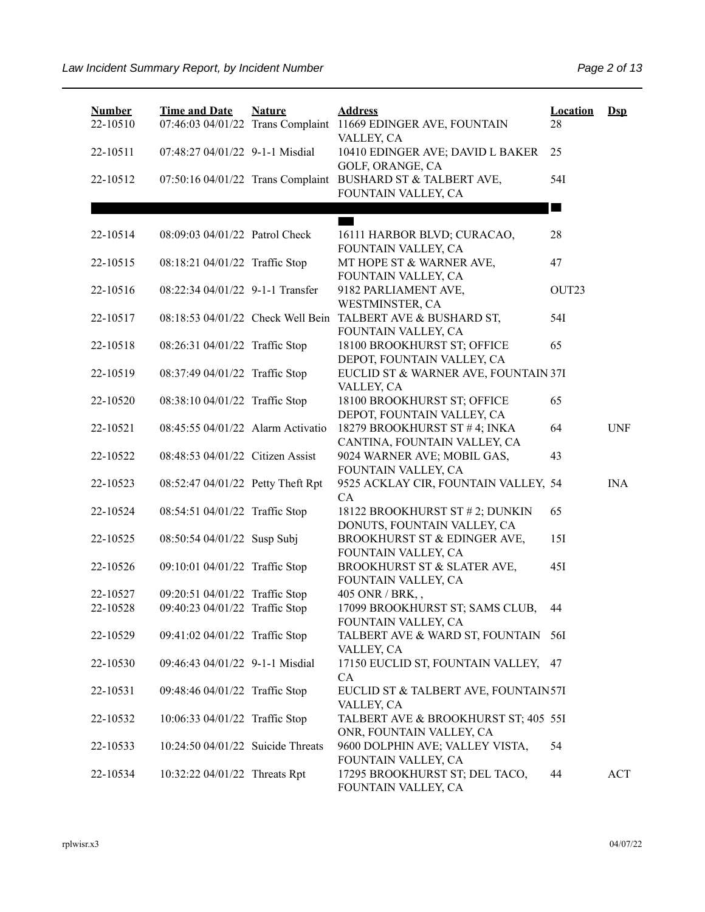| <b>Number</b><br>22-10510 | <b>Time and Date</b><br>07:46:03 04/01/22 Trans Complaint | <b>Nature</b> | <b>Address</b><br>11669 EDINGER AVE, FOUNTAIN                                      | <b>Location</b><br>28 | $Ds$       |
|---------------------------|-----------------------------------------------------------|---------------|------------------------------------------------------------------------------------|-----------------------|------------|
| 22-10511                  | 07:48:27 04/01/22 9-1-1 Misdial                           |               | VALLEY, CA<br>10410 EDINGER AVE; DAVID L BAKER<br>GOLF, ORANGE, CA                 | 25                    |            |
| 22-10512                  |                                                           |               | 07:50:16 04/01/22 Trans Complaint BUSHARD ST & TALBERT AVE,<br>FOUNTAIN VALLEY, CA | 54I                   |            |
|                           |                                                           |               |                                                                                    | <b>STAR</b>           |            |
| 22-10514                  | 08:09:03 04/01/22 Patrol Check                            |               | 16111 HARBOR BLVD; CURACAO,<br>FOUNTAIN VALLEY, CA                                 | 28                    |            |
| 22-10515                  | 08:18:21 04/01/22 Traffic Stop                            |               | MT HOPE ST & WARNER AVE,<br>FOUNTAIN VALLEY, CA                                    | 47                    |            |
| 22-10516                  | 08:22:34 04/01/22 9-1-1 Transfer                          |               | 9182 PARLIAMENT AVE,<br>WESTMINSTER, CA                                            | OUT23                 |            |
| 22-10517                  |                                                           |               | 08:18:53 04/01/22 Check Well Bein TALBERT AVE & BUSHARD ST,<br>FOUNTAIN VALLEY, CA | 54I                   |            |
| 22-10518                  | 08:26:31 04/01/22 Traffic Stop                            |               | 18100 BROOKHURST ST; OFFICE<br>DEPOT, FOUNTAIN VALLEY, CA                          | 65                    |            |
| 22-10519                  | 08:37:49 04/01/22 Traffic Stop                            |               | EUCLID ST & WARNER AVE, FOUNTAIN 37I<br>VALLEY, CA                                 |                       |            |
| 22-10520                  | 08:38:10 04/01/22 Traffic Stop                            |               | 18100 BROOKHURST ST; OFFICE<br>DEPOT, FOUNTAIN VALLEY, CA                          | 65                    |            |
| 22-10521                  | 08:45:55 04/01/22 Alarm Activatio                         |               | 18279 BROOKHURST ST #4; INKA<br>CANTINA, FOUNTAIN VALLEY, CA                       | 64                    | <b>UNF</b> |
| 22-10522                  | 08:48:53 04/01/22 Citizen Assist                          |               | 9024 WARNER AVE; MOBIL GAS,<br>FOUNTAIN VALLEY, CA                                 | 43                    |            |
| 22-10523                  | 08:52:47 04/01/22 Petty Theft Rpt                         |               | 9525 ACKLAY CIR, FOUNTAIN VALLEY, 54<br>CA                                         |                       | <b>INA</b> |
| 22-10524                  | 08:54:51 04/01/22 Traffic Stop                            |               | 18122 BROOKHURST ST # 2; DUNKIN<br>DONUTS, FOUNTAIN VALLEY, CA                     | 65                    |            |
| 22-10525                  | 08:50:54 04/01/22 Susp Subj                               |               | BROOKHURST ST & EDINGER AVE,<br>FOUNTAIN VALLEY, CA                                | 15I                   |            |
| 22-10526                  | 09:10:01 04/01/22 Traffic Stop                            |               | BROOKHURST ST & SLATER AVE,<br>FOUNTAIN VALLEY, CA                                 | 45I                   |            |
| 22-10527                  | 09:20:51 04/01/22 Traffic Stop                            |               | 405 ONR / BRK,,                                                                    |                       |            |
| 22-10528                  | 09:40:23 04/01/22 Traffic Stop                            |               | 17099 BROOKHURST ST; SAMS CLUB,<br>FOUNTAIN VALLEY, CA                             | 44                    |            |
| 22-10529                  | 09:41:02 04/01/22 Traffic Stop                            |               | TALBERT AVE & WARD ST, FOUNTAIN 56I<br>VALLEY, CA                                  |                       |            |
| 22-10530                  | 09:46:43 04/01/22 9-1-1 Misdial                           |               | 17150 EUCLID ST, FOUNTAIN VALLEY, 47<br>CA                                         |                       |            |
| 22-10531                  | 09:48:46 04/01/22 Traffic Stop                            |               | EUCLID ST & TALBERT AVE, FOUNTAIN57I<br>VALLEY, CA                                 |                       |            |
| 22-10532                  | 10:06:33 04/01/22 Traffic Stop                            |               | TALBERT AVE & BROOKHURST ST; 405 55I<br>ONR, FOUNTAIN VALLEY, CA                   |                       |            |
| 22-10533                  | 10:24:50 04/01/22 Suicide Threats                         |               | 9600 DOLPHIN AVE; VALLEY VISTA,<br>FOUNTAIN VALLEY, CA                             | 54                    |            |
| 22-10534                  | 10:32:22 04/01/22 Threats Rpt                             |               | 17295 BROOKHURST ST; DEL TACO,<br>FOUNTAIN VALLEY, CA                              | 44                    | ACT        |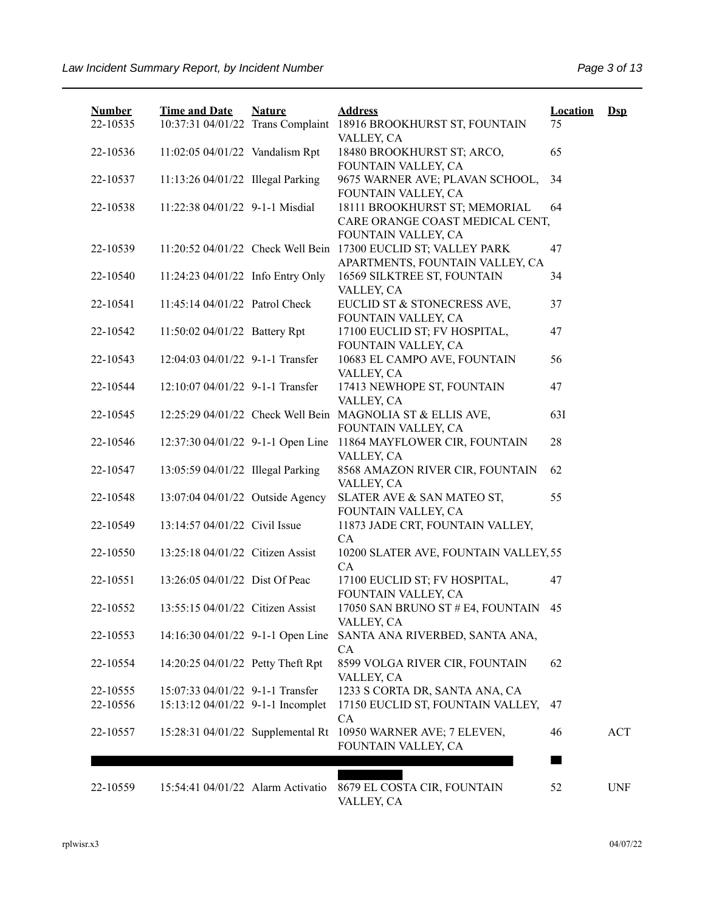| <b>Number</b>        | <b>Time and Date</b>                                                  | <b>Nature</b> | <b>Address</b>                                                                          | <b>Location</b> | $DsD$      |
|----------------------|-----------------------------------------------------------------------|---------------|-----------------------------------------------------------------------------------------|-----------------|------------|
| 22-10535             | 10:37:31 04/01/22 Trans Complaint                                     |               | 18916 BROOKHURST ST, FOUNTAIN<br>VALLEY, CA                                             | 75              |            |
| 22-10536             | 11:02:05 04/01/22 Vandalism Rpt                                       |               | 18480 BROOKHURST ST; ARCO,<br>FOUNTAIN VALLEY, CA                                       | 65              |            |
| 22-10537             | 11:13:26 04/01/22 Illegal Parking                                     |               | 9675 WARNER AVE; PLAVAN SCHOOL,                                                         | 34              |            |
| 22-10538             | 11:22:38 04/01/22 9-1-1 Misdial                                       |               | FOUNTAIN VALLEY, CA<br>18111 BROOKHURST ST; MEMORIAL<br>CARE ORANGE COAST MEDICAL CENT, | 64              |            |
| 22-10539             | 11:20:52 04/01/22 Check Well Bein                                     |               | FOUNTAIN VALLEY, CA<br>17300 EUCLID ST; VALLEY PARK<br>APARTMENTS, FOUNTAIN VALLEY, CA  | 47              |            |
| 22-10540             | 11:24:23 04/01/22 Info Entry Only                                     |               | 16569 SILKTREE ST, FOUNTAIN<br>VALLEY, CA                                               | 34              |            |
| 22-10541             | 11:45:14 04/01/22 Patrol Check                                        |               | EUCLID ST & STONECRESS AVE,<br>FOUNTAIN VALLEY, CA                                      | 37              |            |
| 22-10542             | 11:50:02 04/01/22 Battery Rpt                                         |               | 17100 EUCLID ST; FV HOSPITAL,<br>FOUNTAIN VALLEY, CA                                    | 47              |            |
| 22-10543             | 12:04:03 04/01/22 9-1-1 Transfer                                      |               | 10683 EL CAMPO AVE, FOUNTAIN<br>VALLEY, CA                                              | 56              |            |
| 22-10544             | 12:10:07 04/01/22 9-1-1 Transfer                                      |               | 17413 NEWHOPE ST, FOUNTAIN<br>VALLEY, CA                                                | 47              |            |
| 22-10545             |                                                                       |               | 12:25:29 04/01/22 Check Well Bein MAGNOLIA ST & ELLIS AVE,<br>FOUNTAIN VALLEY, CA       | 63I             |            |
| 22-10546             | 12:37:30 04/01/22 9-1-1 Open Line                                     |               | 11864 MAYFLOWER CIR, FOUNTAIN                                                           | 28              |            |
| 22-10547             | 13:05:59 04/01/22 Illegal Parking                                     |               | VALLEY, CA<br>8568 AMAZON RIVER CIR, FOUNTAIN                                           | 62              |            |
| 22-10548             | 13:07:04 04/01/22 Outside Agency                                      |               | VALLEY, CA<br>SLATER AVE & SAN MATEO ST,                                                | 55              |            |
| 22-10549             | 13:14:57 04/01/22 Civil Issue                                         |               | FOUNTAIN VALLEY, CA<br>11873 JADE CRT, FOUNTAIN VALLEY,                                 |                 |            |
| 22-10550             | 13:25:18 04/01/22 Citizen Assist                                      |               | CA<br>10200 SLATER AVE, FOUNTAIN VALLEY, 55<br>CA                                       |                 |            |
| 22-10551             | 13:26:05 04/01/22 Dist Of Peac                                        |               | 17100 EUCLID ST; FV HOSPITAL,<br>FOUNTAIN VALLEY, CA                                    | 47              |            |
| 22-10552             | 13:55:15 04/01/22 Citizen Assist                                      |               | 17050 SAN BRUNO ST # E4, FOUNTAIN<br>VALLEY, CA                                         | 45              |            |
| 22-10553             | 14:16:30 04/01/22 9-1-1 Open Line                                     |               | SANTA ANA RIVERBED, SANTA ANA,<br>CA                                                    |                 |            |
| 22-10554             | 14:20:25 04/01/22 Petty Theft Rpt                                     |               | 8599 VOLGA RIVER CIR, FOUNTAIN<br>VALLEY, CA                                            | 62              |            |
| 22-10555<br>22-10556 | 15:07:33 04/01/22 9-1-1 Transfer<br>15:13:12 04/01/22 9-1-1 Incomplet |               | 1233 S CORTA DR, SANTA ANA, CA<br>17150 EUCLID ST, FOUNTAIN VALLEY,                     | 47              |            |
| 22-10557             | 15:28:31 04/01/22 Supplemental Rt                                     |               | CA<br>10950 WARNER AVE; 7 ELEVEN,                                                       | 46              | <b>ACT</b> |
|                      |                                                                       |               | FOUNTAIN VALLEY, CA                                                                     |                 |            |
| 22-10559             | 15:54:41 04/01/22 Alarm Activatio                                     |               | 8679 EL COSTA CIR, FOUNTAIN<br>VALLEY, CA                                               | 52              | <b>UNF</b> |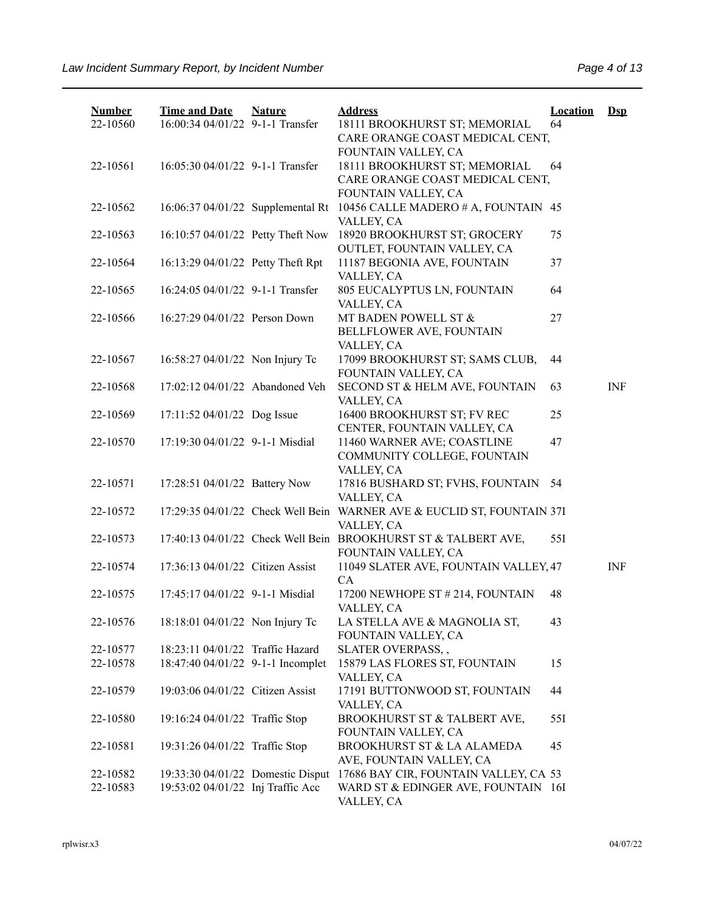| <b>Number</b><br>22-10560 | <b>Time and Date</b><br>16:00:34 04/01/22 9-1-1 Transfer               | <b>Nature</b> | <b>Address</b><br>18111 BROOKHURST ST; MEMORIAL<br>CARE ORANGE COAST MEDICAL CENT,                  | <b>Location</b><br>64 | $\mathbf{Dsp}$ |
|---------------------------|------------------------------------------------------------------------|---------------|-----------------------------------------------------------------------------------------------------|-----------------------|----------------|
| 22-10561                  | 16:05:30 04/01/22 9-1-1 Transfer                                       |               | FOUNTAIN VALLEY, CA<br>18111 BROOKHURST ST; MEMORIAL<br>CARE ORANGE COAST MEDICAL CENT,             | 64                    |                |
| 22-10562                  | 16:06:37 04/01/22 Supplemental Rt                                      |               | FOUNTAIN VALLEY, CA<br>10456 CALLE MADERO # A, FOUNTAIN 45<br>VALLEY, CA                            |                       |                |
| 22-10563                  | 16:10:57 04/01/22 Petty Theft Now                                      |               | 18920 BROOKHURST ST; GROCERY<br>OUTLET, FOUNTAIN VALLEY, CA                                         | 75                    |                |
| 22-10564                  | 16:13:29 04/01/22 Petty Theft Rpt                                      |               | 11187 BEGONIA AVE, FOUNTAIN<br>VALLEY, CA                                                           | 37                    |                |
| 22-10565                  | 16:24:05 04/01/22 9-1-1 Transfer                                       |               | 805 EUCALYPTUS LN, FOUNTAIN<br>VALLEY, CA                                                           | 64                    |                |
| 22-10566                  | 16:27:29 04/01/22 Person Down                                          |               | MT BADEN POWELL ST &<br>BELLFLOWER AVE, FOUNTAIN                                                    | 27                    |                |
| 22-10567                  | 16:58:27 04/01/22 Non Injury Tc                                        |               | VALLEY, CA<br>17099 BROOKHURST ST; SAMS CLUB,<br>FOUNTAIN VALLEY, CA                                | 44                    |                |
| 22-10568                  | 17:02:12 04/01/22 Abandoned Veh                                        |               | SECOND ST & HELM AVE, FOUNTAIN<br>VALLEY, CA                                                        | 63                    | <b>INF</b>     |
| 22-10569                  | 17:11:52 04/01/22 Dog Issue                                            |               | 16400 BROOKHURST ST; FV REC<br>CENTER, FOUNTAIN VALLEY, CA                                          | 25                    |                |
| 22-10570                  | 17:19:30 04/01/22 9-1-1 Misdial                                        |               | 11460 WARNER AVE; COASTLINE<br>COMMUNITY COLLEGE, FOUNTAIN                                          | 47                    |                |
| 22-10571                  | 17:28:51 04/01/22 Battery Now                                          |               | VALLEY, CA<br>17816 BUSHARD ST; FVHS, FOUNTAIN                                                      | 54                    |                |
| 22-10572                  | 17:29:35 04/01/22 Check Well Bein                                      |               | VALLEY, CA<br>WARNER AVE & EUCLID ST, FOUNTAIN 37I                                                  |                       |                |
| 22-10573                  |                                                                        |               | VALLEY, CA<br>17:40:13 04/01/22 Check Well Bein BROOKHURST ST & TALBERT AVE,<br>FOUNTAIN VALLEY, CA | 55I                   |                |
| 22-10574                  | 17:36:13 04/01/22 Citizen Assist                                       |               | 11049 SLATER AVE, FOUNTAIN VALLEY, 47<br>CA                                                         |                       | <b>INF</b>     |
| 22-10575                  | 17:45:17 04/01/22 9-1-1 Misdial                                        |               | 17200 NEWHOPE ST # 214, FOUNTAIN<br>VALLEY, CA                                                      | 48                    |                |
| 22-10576                  | 18:18:01 04/01/22 Non Injury Tc                                        |               | LA STELLA AVE & MAGNOLIA ST,<br>FOUNTAIN VALLEY, CA                                                 | 43                    |                |
| 22-10577<br>22-10578      | 18:23:11 04/01/22 Traffic Hazard<br>18:47:40 04/01/22 9-1-1 Incomplet  |               | SLATER OVERPASS,,<br>15879 LAS FLORES ST, FOUNTAIN                                                  | 15                    |                |
| 22-10579                  | 19:03:06 04/01/22 Citizen Assist                                       |               | VALLEY, CA<br>17191 BUTTONWOOD ST, FOUNTAIN                                                         | 44                    |                |
| 22-10580                  | 19:16:24 04/01/22 Traffic Stop                                         |               | VALLEY, CA<br>BROOKHURST ST & TALBERT AVE,                                                          | 55I                   |                |
|                           |                                                                        |               | FOUNTAIN VALLEY, CA                                                                                 |                       |                |
| 22-10581                  | 19:31:26 04/01/22 Traffic Stop                                         |               | BROOKHURST ST & LA ALAMEDA<br>AVE, FOUNTAIN VALLEY, CA                                              | 45                    |                |
| 22-10582<br>22-10583      | 19:33:30 04/01/22 Domestic Disput<br>19:53:02 04/01/22 Inj Traffic Acc |               | 17686 BAY CIR, FOUNTAIN VALLEY, CA 53<br>WARD ST & EDINGER AVE, FOUNTAIN 16I<br>VALLEY, CA          |                       |                |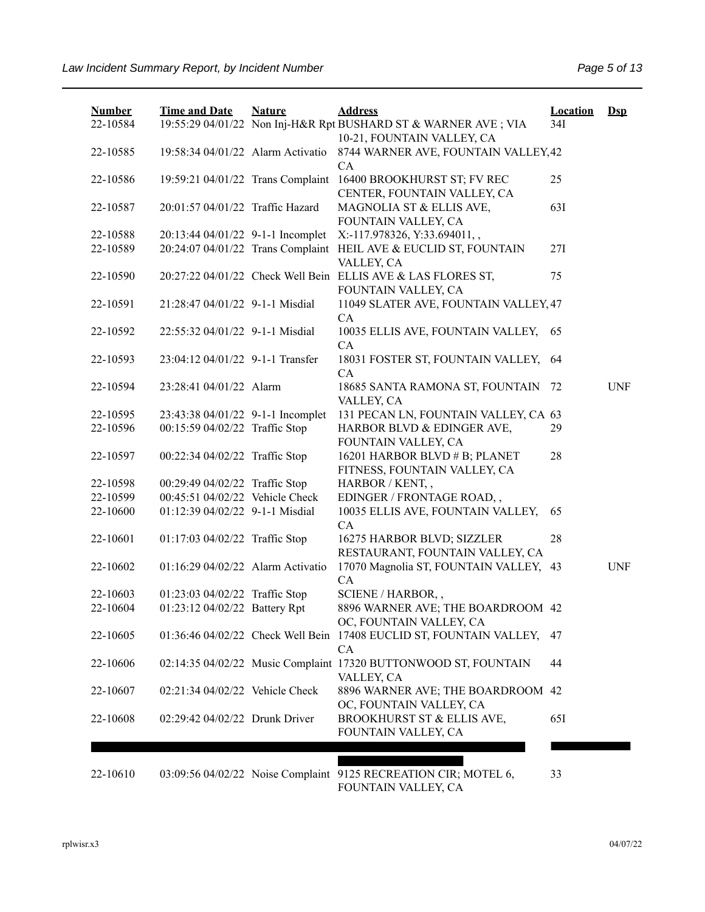| <b>Number</b><br>22-10584 | <b>Time and Date</b>              | <b>Nature</b> | <b>Address</b><br>19:55:29 04/01/22 Non Inj-H&R Rpt BUSHARD ST & WARNER AVE ; VIA   | <b>Location</b><br>34I | $\mathbf{Dsp}$ |
|---------------------------|-----------------------------------|---------------|-------------------------------------------------------------------------------------|------------------------|----------------|
|                           |                                   |               | 10-21, FOUNTAIN VALLEY, CA                                                          |                        |                |
| 22-10585                  | 19:58:34 04/01/22 Alarm Activatio |               | 8744 WARNER AVE, FOUNTAIN VALLEY, 42<br>CA                                          |                        |                |
| 22-10586                  | 19:59:21 04/01/22 Trans Complaint |               | 16400 BROOKHURST ST; FV REC<br>CENTER, FOUNTAIN VALLEY, CA                          | 25                     |                |
| 22-10587                  | 20:01:57 04/01/22 Traffic Hazard  |               | MAGNOLIA ST & ELLIS AVE,<br>FOUNTAIN VALLEY, CA                                     | 63I                    |                |
| 22-10588                  | 20:13:44 04/01/22 9-1-1 Incomplet |               | X:-117.978326, Y:33.694011,,                                                        |                        |                |
| 22-10589                  |                                   |               | 20:24:07 04/01/22 Trans Complaint HEIL AVE & EUCLID ST, FOUNTAIN<br>VALLEY, CA      | 27I                    |                |
| 22-10590                  |                                   |               | 20:27:22 04/01/22 Check Well Bein ELLIS AVE & LAS FLORES ST,<br>FOUNTAIN VALLEY, CA | 75                     |                |
| 22-10591                  | 21:28:47 04/01/22 9-1-1 Misdial   |               | 11049 SLATER AVE, FOUNTAIN VALLEY, 47<br>CA                                         |                        |                |
| 22-10592                  | 22:55:32 04/01/22 9-1-1 Misdial   |               | 10035 ELLIS AVE, FOUNTAIN VALLEY,<br>CA                                             | 65                     |                |
| 22-10593                  | 23:04:12 04/01/22 9-1-1 Transfer  |               | 18031 FOSTER ST, FOUNTAIN VALLEY,<br>CA                                             | 64                     |                |
| 22-10594                  | 23:28:41 04/01/22 Alarm           |               | 18685 SANTA RAMONA ST, FOUNTAIN<br>VALLEY, CA                                       | 72                     | <b>UNF</b>     |
| 22-10595                  | 23:43:38 04/01/22 9-1-1 Incomplet |               | 131 PECAN LN, FOUNTAIN VALLEY, CA 63                                                |                        |                |
| 22-10596                  | 00:15:59 04/02/22 Traffic Stop    |               | HARBOR BLVD & EDINGER AVE,<br>FOUNTAIN VALLEY, CA                                   | 29                     |                |
| 22-10597                  | 00:22:34 04/02/22 Traffic Stop    |               | 16201 HARBOR BLVD # B; PLANET<br>FITNESS, FOUNTAIN VALLEY, CA                       | 28                     |                |
| 22-10598                  | 00:29:49 04/02/22 Traffic Stop    |               | HARBOR / KENT,,                                                                     |                        |                |
| 22-10599                  | 00:45:51 04/02/22 Vehicle Check   |               | EDINGER / FRONTAGE ROAD,,                                                           |                        |                |
| 22-10600                  | 01:12:39 04/02/22 9-1-1 Misdial   |               | 10035 ELLIS AVE, FOUNTAIN VALLEY,<br>CA                                             | 65                     |                |
| 22-10601                  | 01:17:03 04/02/22 Traffic Stop    |               | 16275 HARBOR BLVD; SIZZLER<br>RESTAURANT, FOUNTAIN VALLEY, CA                       | 28                     |                |
| 22-10602                  | 01:16:29 04/02/22 Alarm Activatio |               | 17070 Magnolia ST, FOUNTAIN VALLEY, 43<br>CA                                        |                        | <b>UNF</b>     |
| 22-10603                  | 01:23:03 04/02/22 Traffic Stop    |               | SCIENE / HARBOR,,                                                                   |                        |                |
| 22-10604                  | 01:23:12 04/02/22 Battery Rpt     |               | 8896 WARNER AVE; THE BOARDROOM 42<br>OC, FOUNTAIN VALLEY, CA                        |                        |                |
| 22-10605                  |                                   |               | 01:36:46 04/02/22 Check Well Bein 17408 EUCLID ST, FOUNTAIN VALLEY,<br>CA           | 47                     |                |
| 22-10606                  |                                   |               | 02:14:35 04/02/22 Music Complaint 17320 BUTTONWOOD ST, FOUNTAIN<br>VALLEY, CA       | 44                     |                |
| 22-10607                  | 02:21:34 04/02/22 Vehicle Check   |               | 8896 WARNER AVE; THE BOARDROOM 42<br>OC, FOUNTAIN VALLEY, CA                        |                        |                |
| 22-10608                  | 02:29:42 04/02/22 Drunk Driver    |               | BROOKHURST ST & ELLIS AVE,<br>FOUNTAIN VALLEY, CA                                   | 65I                    |                |
|                           |                                   |               |                                                                                     |                        |                |
|                           |                                   |               |                                                                                     |                        |                |

22-10610 03:09:56 04/02/22 Noise Complaint 9125 RECREATION CIR; MOTEL 6, FOUNTAIN VALLEY, CA

33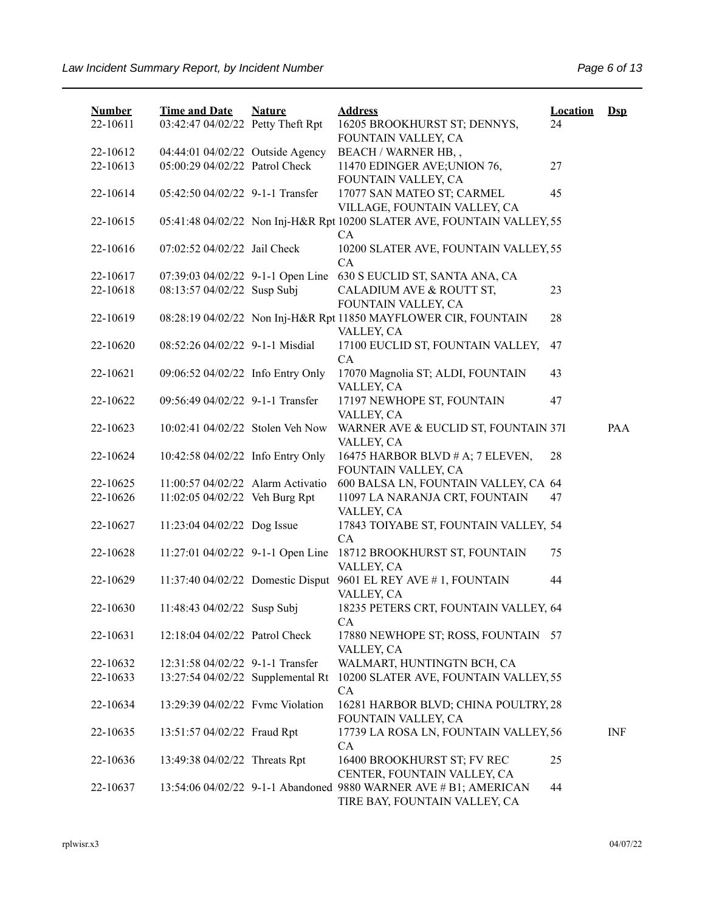| <b>Number</b>        | <b>Time and Date</b>                                               | <b>Nature</b> | <b>Address</b>                                                                                    | <b>Location</b> | $Ds$ |
|----------------------|--------------------------------------------------------------------|---------------|---------------------------------------------------------------------------------------------------|-----------------|------|
| 22-10611             | 03:42:47 04/02/22 Petty Theft Rpt                                  |               | 16205 BROOKHURST ST; DENNYS,                                                                      | 24              |      |
|                      |                                                                    |               | FOUNTAIN VALLEY, CA                                                                               |                 |      |
| 22-10612<br>22-10613 | 04:44:01 04/02/22 Outside Agency<br>05:00:29 04/02/22 Patrol Check |               | BEACH / WARNER HB,,<br>11470 EDINGER AVE; UNION 76,                                               | 27              |      |
|                      |                                                                    |               | FOUNTAIN VALLEY, CA                                                                               |                 |      |
| 22-10614             | 05:42:50 04/02/22 9-1-1 Transfer                                   |               | 17077 SAN MATEO ST; CARMEL<br>VILLAGE, FOUNTAIN VALLEY, CA                                        | 45              |      |
| 22-10615             |                                                                    |               | 05:41:48 04/02/22 Non Inj-H&R Rpt 10200 SLATER AVE, FOUNTAIN VALLEY, 55<br>CA                     |                 |      |
| 22-10616             | 07:02:52 04/02/22 Jail Check                                       |               | 10200 SLATER AVE, FOUNTAIN VALLEY, 55<br>CA                                                       |                 |      |
| 22-10617             |                                                                    |               | 07:39:03 04/02/22 9-1-1 Open Line 630 S EUCLID ST, SANTA ANA, CA                                  |                 |      |
| 22-10618             | 08:13:57 04/02/22 Susp Subj                                        |               | CALADIUM AVE & ROUTT ST,<br>FOUNTAIN VALLEY, CA                                                   | 23              |      |
| 22-10619             |                                                                    |               | 08:28:19 04/02/22 Non Inj-H&R Rpt 11850 MAYFLOWER CIR, FOUNTAIN<br>VALLEY, CA                     | 28              |      |
| 22-10620             | 08:52:26 04/02/22 9-1-1 Misdial                                    |               | 17100 EUCLID ST, FOUNTAIN VALLEY,<br>CA                                                           | 47              |      |
| 22-10621             | 09:06:52 04/02/22 Info Entry Only                                  |               | 17070 Magnolia ST; ALDI, FOUNTAIN<br>VALLEY, CA                                                   | 43              |      |
| 22-10622             | 09:56:49 04/02/22 9-1-1 Transfer                                   |               | 17197 NEWHOPE ST, FOUNTAIN<br>VALLEY, CA                                                          | 47              |      |
| 22-10623             | 10:02:41 04/02/22 Stolen Veh Now                                   |               | WARNER AVE & EUCLID ST, FOUNTAIN 37I<br>VALLEY, CA                                                |                 | PAA  |
| 22-10624             | 10:42:58 04/02/22 Info Entry Only                                  |               | 16475 HARBOR BLVD # A; 7 ELEVEN,<br>FOUNTAIN VALLEY, CA                                           | 28              |      |
| 22-10625             | 11:00:57 04/02/22 Alarm Activatio                                  |               | 600 BALSA LN, FOUNTAIN VALLEY, CA 64                                                              |                 |      |
| 22-10626             | 11:02:05 04/02/22 Veh Burg Rpt                                     |               | 11097 LA NARANJA CRT, FOUNTAIN<br>VALLEY, CA                                                      | 47              |      |
| 22-10627             | 11:23:04 04/02/22 Dog Issue                                        |               | 17843 TOIYABE ST, FOUNTAIN VALLEY, 54<br>CA                                                       |                 |      |
| 22-10628             | 11:27:01 04/02/22 9-1-1 Open Line                                  |               | 18712 BROOKHURST ST, FOUNTAIN<br>VALLEY, CA                                                       | 75              |      |
| 22-10629             | 11:37:40 04/02/22 Domestic Disput                                  |               | 9601 EL REY AVE # 1, FOUNTAIN<br>VALLEY, CA                                                       | 44              |      |
| 22-10630             | 11:48:43 04/02/22 Susp Subj                                        |               | 18235 PETERS CRT, FOUNTAIN VALLEY, 64<br>CA                                                       |                 |      |
| 22-10631             | 12:18:04 04/02/22 Patrol Check                                     |               | 17880 NEWHOPE ST; ROSS, FOUNTAIN 57<br>VALLEY, CA                                                 |                 |      |
| 22-10632             | 12:31:58 04/02/22 9-1-1 Transfer                                   |               | WALMART, HUNTINGTN BCH, CA                                                                        |                 |      |
| 22-10633             | 13:27:54 04/02/22 Supplemental Rt                                  |               | 10200 SLATER AVE, FOUNTAIN VALLEY, 55<br>CA                                                       |                 |      |
| 22-10634             | 13:29:39 04/02/22 Fvmc Violation                                   |               | 16281 HARBOR BLVD; CHINA POULTRY, 28<br>FOUNTAIN VALLEY, CA                                       |                 |      |
| 22-10635             | 13:51:57 04/02/22 Fraud Rpt                                        |               | 17739 LA ROSA LN, FOUNTAIN VALLEY, 56<br>CA                                                       |                 | INF  |
| 22-10636             | 13:49:38 04/02/22 Threats Rpt                                      |               | 16400 BROOKHURST ST; FV REC<br>CENTER, FOUNTAIN VALLEY, CA                                        | 25              |      |
| 22-10637             |                                                                    |               | 13:54:06 04/02/22 9-1-1 Abandoned 9880 WARNER AVE # B1; AMERICAN<br>TIRE BAY, FOUNTAIN VALLEY, CA | 44              |      |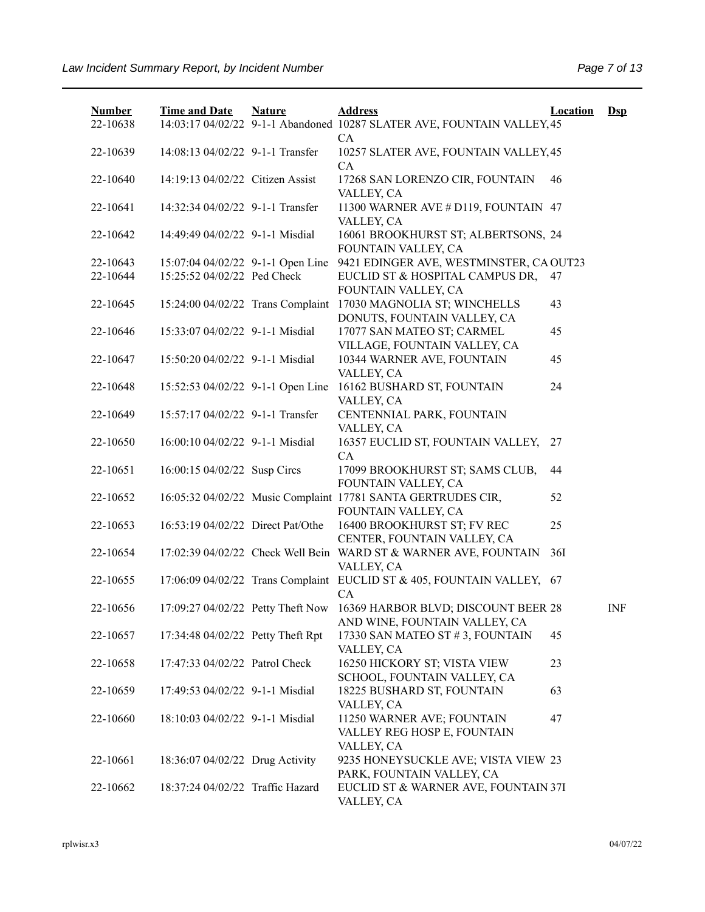| <b>Number</b><br>22-10638 | <b>Time and Date</b>              | <b>Nature</b> | <b>Address</b><br>14:03:17 04/02/22 9-1-1 Abandoned 10287 SLATER AVE, FOUNTAIN VALLEY, 45<br>CA        | <b>Location</b> | $\mathbf{Dsp}$ |
|---------------------------|-----------------------------------|---------------|--------------------------------------------------------------------------------------------------------|-----------------|----------------|
| 22-10639                  | 14:08:13 04/02/22 9-1-1 Transfer  |               | 10257 SLATER AVE, FOUNTAIN VALLEY, 45<br>CA                                                            |                 |                |
| 22-10640                  | 14:19:13 04/02/22 Citizen Assist  |               | 17268 SAN LORENZO CIR, FOUNTAIN<br>VALLEY, CA                                                          | 46              |                |
| 22-10641                  | 14:32:34 04/02/22 9-1-1 Transfer  |               | 11300 WARNER AVE # D119, FOUNTAIN 47<br>VALLEY, CA                                                     |                 |                |
| 22-10642                  | 14:49:49 04/02/22 9-1-1 Misdial   |               | 16061 BROOKHURST ST; ALBERTSONS, 24<br>FOUNTAIN VALLEY, CA                                             |                 |                |
| 22-10643                  | 15:07:04 04/02/22 9-1-1 Open Line |               | 9421 EDINGER AVE, WESTMINSTER, CA OUT23                                                                |                 |                |
| 22-10644                  | 15:25:52 04/02/22 Ped Check       |               | EUCLID ST & HOSPITAL CAMPUS DR,<br>FOUNTAIN VALLEY, CA                                                 | 47              |                |
| 22-10645                  |                                   |               | 15:24:00 04/02/22 Trans Complaint 17030 MAGNOLIA ST; WINCHELLS<br>DONUTS, FOUNTAIN VALLEY, CA          | 43              |                |
| 22-10646                  | 15:33:07 04/02/22 9-1-1 Misdial   |               | 17077 SAN MATEO ST; CARMEL<br>VILLAGE, FOUNTAIN VALLEY, CA                                             | 45              |                |
| 22-10647                  | 15:50:20 04/02/22 9-1-1 Misdial   |               | 10344 WARNER AVE, FOUNTAIN<br>VALLEY, CA                                                               | 45              |                |
| 22-10648                  | 15:52:53 04/02/22 9-1-1 Open Line |               | 16162 BUSHARD ST, FOUNTAIN<br>VALLEY, CA                                                               | 24              |                |
| 22-10649                  | 15:57:17 04/02/22 9-1-1 Transfer  |               | CENTENNIAL PARK, FOUNTAIN<br>VALLEY, CA                                                                |                 |                |
| 22-10650                  | 16:00:10 04/02/22 9-1-1 Misdial   |               | 16357 EUCLID ST, FOUNTAIN VALLEY, 27<br>CA                                                             |                 |                |
| 22-10651                  | 16:00:15 04/02/22 Susp Circs      |               | 17099 BROOKHURST ST; SAMS CLUB,<br>FOUNTAIN VALLEY, CA                                                 | 44              |                |
| 22-10652                  |                                   |               | 16:05:32 04/02/22 Music Complaint 17781 SANTA GERTRUDES CIR,<br>FOUNTAIN VALLEY, CA                    | 52              |                |
| 22-10653                  | 16:53:19 04/02/22 Direct Pat/Othe |               | 16400 BROOKHURST ST; FV REC<br>CENTER, FOUNTAIN VALLEY, CA                                             | 25              |                |
| 22-10654                  |                                   |               | 17:02:39 04/02/22 Check Well Bein WARD ST & WARNER AVE, FOUNTAIN<br>VALLEY, CA                         | <b>36I</b>      |                |
| 22-10655                  |                                   |               | 17:06:09 04/02/22 Trans Complaint EUCLID ST & 405, FOUNTAIN VALLEY, 67<br>CA                           |                 |                |
| 22-10656                  |                                   |               | 17:09:27 04/02/22 Petty Theft Now 16369 HARBOR BLVD; DISCOUNT BEER 28<br>AND WINE, FOUNTAIN VALLEY, CA |                 | <b>INF</b>     |
| 22-10657                  | 17:34:48 04/02/22 Petty Theft Rpt |               | 17330 SAN MATEO ST #3, FOUNTAIN<br>VALLEY, CA                                                          | 45              |                |
| 22-10658                  | 17:47:33 04/02/22 Patrol Check    |               | 16250 HICKORY ST; VISTA VIEW<br>SCHOOL, FOUNTAIN VALLEY, CA                                            | 23              |                |
| 22-10659                  | 17:49:53 04/02/22 9-1-1 Misdial   |               | 18225 BUSHARD ST, FOUNTAIN<br>VALLEY, CA                                                               | 63              |                |
| 22-10660                  | 18:10:03 04/02/22 9-1-1 Misdial   |               | 11250 WARNER AVE; FOUNTAIN<br>VALLEY REG HOSP E, FOUNTAIN<br>VALLEY, CA                                | 47              |                |
| 22-10661                  | 18:36:07 04/02/22 Drug Activity   |               | 9235 HONEYSUCKLE AVE; VISTA VIEW 23<br>PARK, FOUNTAIN VALLEY, CA                                       |                 |                |
| 22-10662                  | 18:37:24 04/02/22 Traffic Hazard  |               | EUCLID ST & WARNER AVE, FOUNTAIN 37I<br>VALLEY, CA                                                     |                 |                |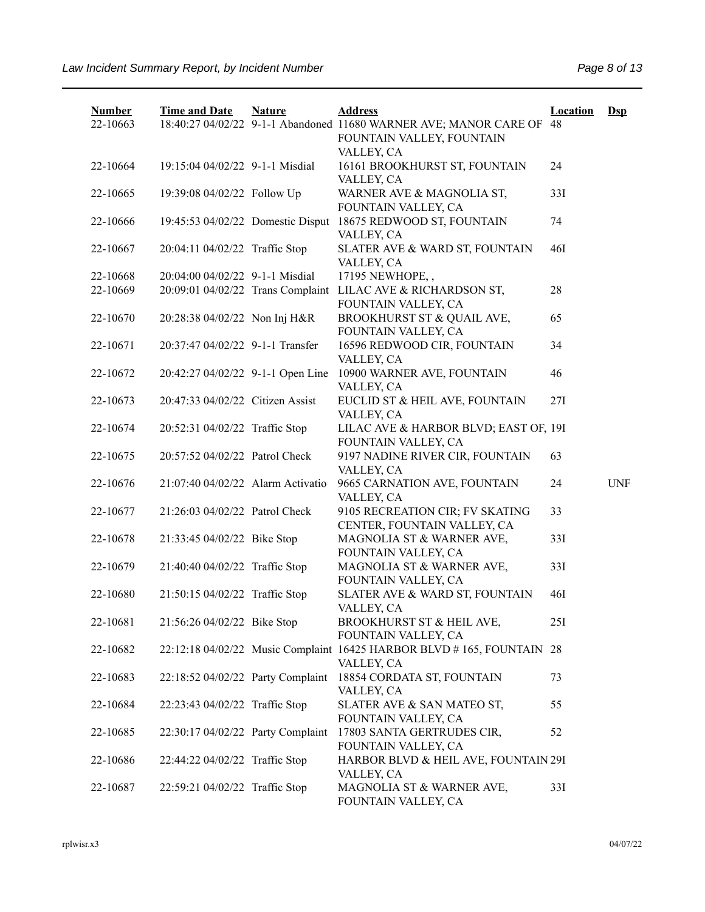| <b>Number</b><br>22-10663 | <b>Time and Date</b>              | <b>Nature</b> | <b>Address</b><br>18:40:27 04/02/22 9-1-1 Abandoned 11680 WARNER AVE; MANOR CARE OF 48<br>FOUNTAIN VALLEY, FOUNTAIN | <b>Location</b> | $\mathbf{Dsp}$ |
|---------------------------|-----------------------------------|---------------|---------------------------------------------------------------------------------------------------------------------|-----------------|----------------|
| 22-10664                  | 19:15:04 04/02/22 9-1-1 Misdial   |               | VALLEY, CA<br>16161 BROOKHURST ST, FOUNTAIN<br>VALLEY, CA                                                           | 24              |                |
| 22-10665                  | 19:39:08 04/02/22 Follow Up       |               | WARNER AVE & MAGNOLIA ST,<br>FOUNTAIN VALLEY, CA                                                                    | 33I             |                |
| 22-10666                  | 19:45:53 04/02/22 Domestic Disput |               | 18675 REDWOOD ST, FOUNTAIN<br>VALLEY, CA                                                                            | 74              |                |
| 22-10667                  | 20:04:11 04/02/22 Traffic Stop    |               | SLATER AVE & WARD ST, FOUNTAIN<br>VALLEY, CA                                                                        | <b>46I</b>      |                |
| 22-10668                  | 20:04:00 04/02/22 9-1-1 Misdial   |               | 17195 NEWHOPE,,                                                                                                     |                 |                |
| 22-10669                  |                                   |               | 20:09:01 04/02/22 Trans Complaint LILAC AVE & RICHARDSON ST,<br>FOUNTAIN VALLEY, CA                                 | 28              |                |
| 22-10670                  | 20:28:38 04/02/22 Non Inj H&R     |               | BROOKHURST ST & QUAIL AVE,<br>FOUNTAIN VALLEY, CA                                                                   | 65              |                |
| 22-10671                  | 20:37:47 04/02/22 9-1-1 Transfer  |               | 16596 REDWOOD CIR, FOUNTAIN<br>VALLEY, CA                                                                           | 34              |                |
| 22-10672                  | 20:42:27 04/02/22 9-1-1 Open Line |               | 10900 WARNER AVE, FOUNTAIN<br>VALLEY, CA                                                                            | 46              |                |
| 22-10673                  | 20:47:33 04/02/22 Citizen Assist  |               | EUCLID ST & HEIL AVE, FOUNTAIN<br>VALLEY, CA                                                                        | 27I             |                |
| 22-10674                  | 20:52:31 04/02/22 Traffic Stop    |               | LILAC AVE & HARBOR BLVD; EAST OF, 19I<br>FOUNTAIN VALLEY, CA                                                        |                 |                |
| 22-10675                  | 20:57:52 04/02/22 Patrol Check    |               | 9197 NADINE RIVER CIR, FOUNTAIN<br>VALLEY, CA                                                                       | 63              |                |
| 22-10676                  | 21:07:40 04/02/22 Alarm Activatio |               | 9665 CARNATION AVE, FOUNTAIN<br>VALLEY, CA                                                                          | 24              | <b>UNF</b>     |
| 22-10677                  | 21:26:03 04/02/22 Patrol Check    |               | 9105 RECREATION CIR; FV SKATING<br>CENTER, FOUNTAIN VALLEY, CA                                                      | 33              |                |
| 22-10678                  | 21:33:45 04/02/22 Bike Stop       |               | MAGNOLIA ST & WARNER AVE,<br>FOUNTAIN VALLEY, CA                                                                    | 33I             |                |
| 22-10679                  | 21:40:40 04/02/22 Traffic Stop    |               | MAGNOLIA ST & WARNER AVE,<br>FOUNTAIN VALLEY, CA                                                                    | 33I             |                |
| 22-10680                  | 21:50:15 04/02/22 Traffic Stop    |               | SLATER AVE & WARD ST, FOUNTAIN<br>VALLEY, CA                                                                        | 46I             |                |
| 22-10681                  | 21:56:26 04/02/22 Bike Stop       |               | BROOKHURST ST & HEIL AVE,<br>FOUNTAIN VALLEY, CA                                                                    | 25I             |                |
| 22-10682                  |                                   |               | 22:12:18 04/02/22 Music Complaint 16425 HARBOR BLVD # 165, FOUNTAIN 28<br>VALLEY, CA                                |                 |                |
| 22-10683                  | 22:18:52 04/02/22 Party Complaint |               | 18854 CORDATA ST, FOUNTAIN<br>VALLEY, CA                                                                            | 73              |                |
| 22-10684                  | 22:23:43 04/02/22 Traffic Stop    |               | SLATER AVE & SAN MATEO ST,<br>FOUNTAIN VALLEY, CA                                                                   | 55              |                |
| 22-10685                  | 22:30:17 04/02/22 Party Complaint |               | 17803 SANTA GERTRUDES CIR,<br>FOUNTAIN VALLEY, CA                                                                   | 52              |                |
| 22-10686                  | 22:44:22 04/02/22 Traffic Stop    |               | HARBOR BLVD & HEIL AVE, FOUNTAIN 29I<br>VALLEY, CA                                                                  |                 |                |
| 22-10687                  | 22:59:21 04/02/22 Traffic Stop    |               | MAGNOLIA ST & WARNER AVE,<br>FOUNTAIN VALLEY, CA                                                                    | 33I             |                |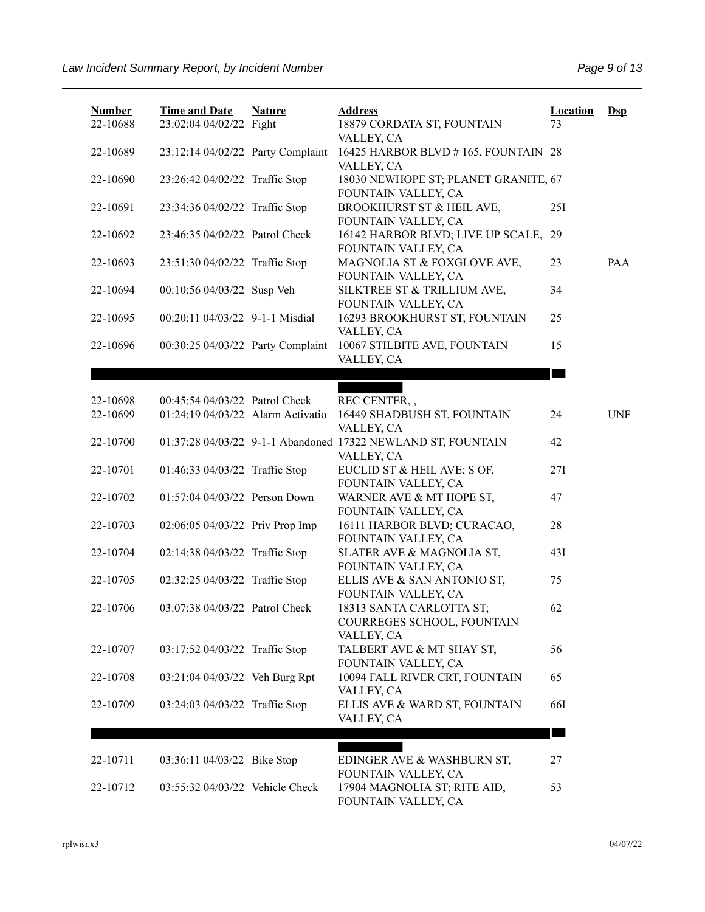| <b>Number</b><br>22-10688 | <b>Time and Date</b><br>23:02:04 04/02/22 Fight | <b>Nature</b> | <b>Address</b><br>18879 CORDATA ST, FOUNTAIN                               | <b>Location</b><br>73 | $\mathbf{Dsp}$ |
|---------------------------|-------------------------------------------------|---------------|----------------------------------------------------------------------------|-----------------------|----------------|
| 22-10689                  | 23:12:14 04/02/22 Party Complaint               |               | VALLEY, CA<br>16425 HARBOR BLVD #165, FOUNTAIN 28<br>VALLEY, CA            |                       |                |
| 22-10690                  | 23:26:42 04/02/22 Traffic Stop                  |               | 18030 NEWHOPE ST; PLANET GRANITE, 67<br>FOUNTAIN VALLEY, CA                |                       |                |
| 22-10691                  | 23:34:36 04/02/22 Traffic Stop                  |               | BROOKHURST ST & HEIL AVE,<br>FOUNTAIN VALLEY, CA                           | 25I                   |                |
| 22-10692                  | 23:46:35 04/02/22 Patrol Check                  |               | 16142 HARBOR BLVD; LIVE UP SCALE,<br>FOUNTAIN VALLEY, CA                   | 29                    |                |
| 22-10693                  | 23:51:30 04/02/22 Traffic Stop                  |               | MAGNOLIA ST & FOXGLOVE AVE,<br>FOUNTAIN VALLEY, CA                         | 23                    | PAA            |
| 22-10694                  | 00:10:56 04/03/22 Susp Veh                      |               | SILKTREE ST & TRILLIUM AVE,<br>FOUNTAIN VALLEY, CA                         | 34                    |                |
| 22-10695                  | 00:20:11 04/03/22 9-1-1 Misdial                 |               | 16293 BROOKHURST ST, FOUNTAIN<br>VALLEY, CA                                | 25                    |                |
| 22-10696                  | 00:30:25 04/03/22 Party Complaint               |               | 10067 STILBITE AVE, FOUNTAIN<br>VALLEY, CA                                 | 15                    |                |
|                           |                                                 |               |                                                                            |                       |                |
| 22-10698                  | 00:45:54 04/03/22 Patrol Check                  |               | REC CENTER,,                                                               |                       |                |
| 22-10699                  | 01:24:19 04/03/22 Alarm Activatio               |               | 16449 SHADBUSH ST, FOUNTAIN<br>VALLEY, CA                                  | 24                    | <b>UNF</b>     |
| 22-10700                  |                                                 |               | 01:37:28 04/03/22 9-1-1 Abandoned 17322 NEWLAND ST, FOUNTAIN<br>VALLEY, CA | 42                    |                |
| 22-10701                  | 01:46:33 04/03/22 Traffic Stop                  |               | EUCLID ST & HEIL AVE; S OF,<br>FOUNTAIN VALLEY, CA                         | 27I                   |                |
| 22-10702                  | 01:57:04 04/03/22 Person Down                   |               | WARNER AVE & MT HOPE ST,<br>FOUNTAIN VALLEY, CA                            | 47                    |                |
| 22-10703                  | 02:06:05 04/03/22 Priv Prop Imp                 |               | 16111 HARBOR BLVD; CURACAO,<br>FOUNTAIN VALLEY, CA                         | 28                    |                |
| 22-10704                  | 02:14:38 04/03/22 Traffic Stop                  |               | SLATER AVE & MAGNOLIA ST,<br>FOUNTAIN VALLEY, CA                           | 431                   |                |
| 22-10705                  | 02:32:25 04/03/22 Traffic Stop                  |               | ELLIS AVE & SAN ANTONIO ST,<br>FOUNTAIN VALLEY, CA                         | 75                    |                |
| 22-10706                  | 03:07:38 04/03/22 Patrol Check                  |               | 18313 SANTA CARLOTTA ST;<br>COURREGES SCHOOL, FOUNTAIN<br>VALLEY, CA       | 62                    |                |
| 22-10707                  | 03:17:52 04/03/22 Traffic Stop                  |               | TALBERT AVE & MT SHAY ST,<br>FOUNTAIN VALLEY, CA                           | 56                    |                |
| 22-10708                  | 03:21:04 04/03/22 Veh Burg Rpt                  |               | 10094 FALL RIVER CRT, FOUNTAIN<br>VALLEY, CA                               | 65                    |                |
| 22-10709                  | 03:24:03 04/03/22 Traffic Stop                  |               | ELLIS AVE & WARD ST, FOUNTAIN<br>VALLEY, CA                                | 66I                   |                |
|                           |                                                 |               |                                                                            |                       |                |
| 22-10711                  | 03:36:11 04/03/22 Bike Stop                     |               | EDINGER AVE & WASHBURN ST,<br>FOUNTAIN VALLEY, CA                          | 27                    |                |
| 22-10712                  | 03:55:32 04/03/22 Vehicle Check                 |               | 17904 MAGNOLIA ST; RITE AID,<br>FOUNTAIN VALLEY, CA                        | 53                    |                |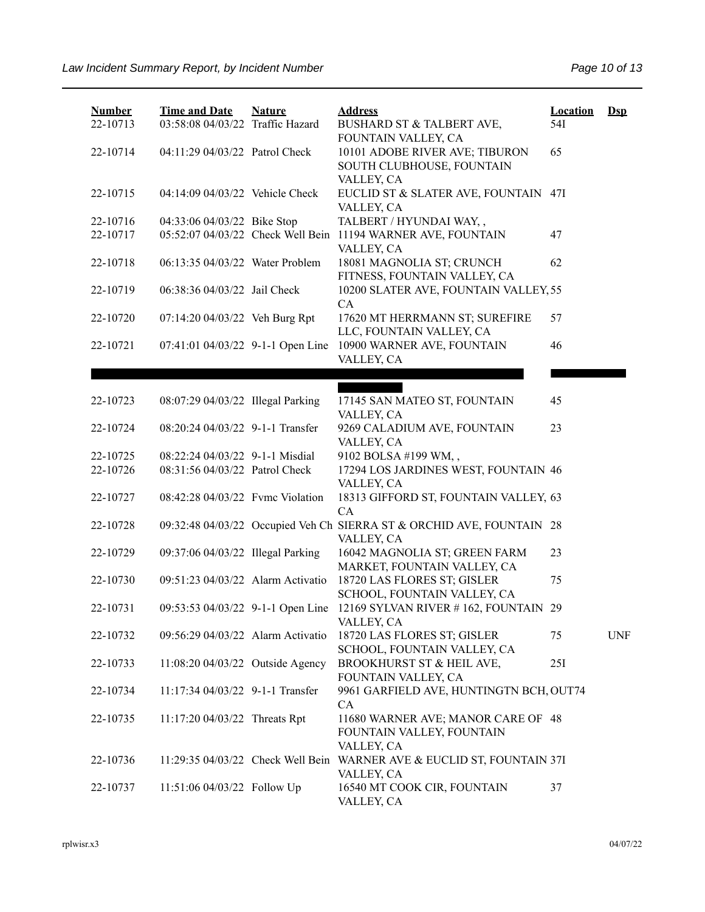| <b>Number</b> | <b>Time and Date</b>              | <b>Nature</b> | <b>Address</b>                                                                       | <b>Location</b> | $\mathbf{Dsp}$ |
|---------------|-----------------------------------|---------------|--------------------------------------------------------------------------------------|-----------------|----------------|
| 22-10713      | 03:58:08 04/03/22 Traffic Hazard  |               | BUSHARD ST & TALBERT AVE,<br>FOUNTAIN VALLEY, CA                                     | 54I             |                |
| 22-10714      | 04:11:29 04/03/22 Patrol Check    |               | 10101 ADOBE RIVER AVE; TIBURON<br>SOUTH CLUBHOUSE, FOUNTAIN                          | 65              |                |
| 22-10715      | 04:14:09 04/03/22 Vehicle Check   |               | VALLEY, CA<br>EUCLID ST & SLATER AVE, FOUNTAIN 47I<br>VALLEY, CA                     |                 |                |
| 22-10716      | 04:33:06 04/03/22 Bike Stop       |               | TALBERT / HYUNDAI WAY,,                                                              |                 |                |
| 22-10717      | 05:52:07 04/03/22 Check Well Bein |               | 11194 WARNER AVE, FOUNTAIN<br>VALLEY, CA                                             | 47              |                |
| 22-10718      | 06:13:35 04/03/22 Water Problem   |               | 18081 MAGNOLIA ST; CRUNCH<br>FITNESS, FOUNTAIN VALLEY, CA                            | 62              |                |
| 22-10719      | 06:38:36 04/03/22 Jail Check      |               | 10200 SLATER AVE, FOUNTAIN VALLEY, 55<br>CA                                          |                 |                |
| 22-10720      | 07:14:20 04/03/22 Veh Burg Rpt    |               | 17620 MT HERRMANN ST; SUREFIRE<br>LLC, FOUNTAIN VALLEY, CA                           | 57              |                |
| 22-10721      | 07:41:01 04/03/22 9-1-1 Open Line |               | 10900 WARNER AVE, FOUNTAIN                                                           | 46              |                |
|               |                                   |               | VALLEY, CA                                                                           |                 |                |
|               |                                   |               |                                                                                      |                 |                |
| 22-10723      | 08:07:29 04/03/22 Illegal Parking |               | 17145 SAN MATEO ST, FOUNTAIN<br>VALLEY, CA                                           | 45              |                |
| 22-10724      | 08:20:24 04/03/22 9-1-1 Transfer  |               | 9269 CALADIUM AVE, FOUNTAIN<br>VALLEY, CA                                            | 23              |                |
| 22-10725      | 08:22:24 04/03/22 9-1-1 Misdial   |               | 9102 BOLSA #199 WM,,                                                                 |                 |                |
| 22-10726      | 08:31:56 04/03/22 Patrol Check    |               | 17294 LOS JARDINES WEST, FOUNTAIN 46<br>VALLEY, CA                                   |                 |                |
| 22-10727      | 08:42:28 04/03/22 Fvmc Violation  |               | 18313 GIFFORD ST, FOUNTAIN VALLEY, 63<br>CA                                          |                 |                |
| 22-10728      |                                   |               | 09:32:48 04/03/22 Occupied Veh Ch SIERRA ST & ORCHID AVE, FOUNTAIN 28<br>VALLEY, CA  |                 |                |
| 22-10729      | 09:37:06 04/03/22 Illegal Parking |               | 16042 MAGNOLIA ST; GREEN FARM<br>MARKET, FOUNTAIN VALLEY, CA                         | 23              |                |
| 22-10730      | 09:51:23 04/03/22 Alarm Activatio |               | 18720 LAS FLORES ST; GISLER<br>SCHOOL, FOUNTAIN VALLEY, CA                           | 75              |                |
| 22-10731      | 09:53:53 04/03/22 9-1-1 Open Line |               | 12169 SYLVAN RIVER #162, FOUNTAIN 29<br>VALLEY, CA                                   |                 |                |
| 22-10732      | 09:56:29 04/03/22 Alarm Activatio |               | 18720 LAS FLORES ST; GISLER<br>SCHOOL, FOUNTAIN VALLEY, CA                           | 75              | <b>UNF</b>     |
| 22-10733      | 11:08:20 04/03/22 Outside Agency  |               | BROOKHURST ST & HEIL AVE,<br>FOUNTAIN VALLEY, CA                                     | 25I             |                |
| 22-10734      | 11:17:34 04/03/22 9-1-1 Transfer  |               | 9961 GARFIELD AVE, HUNTINGTN BCH, OUT74<br>CA                                        |                 |                |
| 22-10735      | 11:17:20 04/03/22 Threats Rpt     |               | 11680 WARNER AVE; MANOR CARE OF 48<br>FOUNTAIN VALLEY, FOUNTAIN<br>VALLEY, CA        |                 |                |
| 22-10736      |                                   |               | 11:29:35 04/03/22 Check Well Bein WARNER AVE & EUCLID ST, FOUNTAIN 37I<br>VALLEY, CA |                 |                |
| 22-10737      | 11:51:06 04/03/22 Follow Up       |               | 16540 MT COOK CIR, FOUNTAIN<br>VALLEY, CA                                            | 37              |                |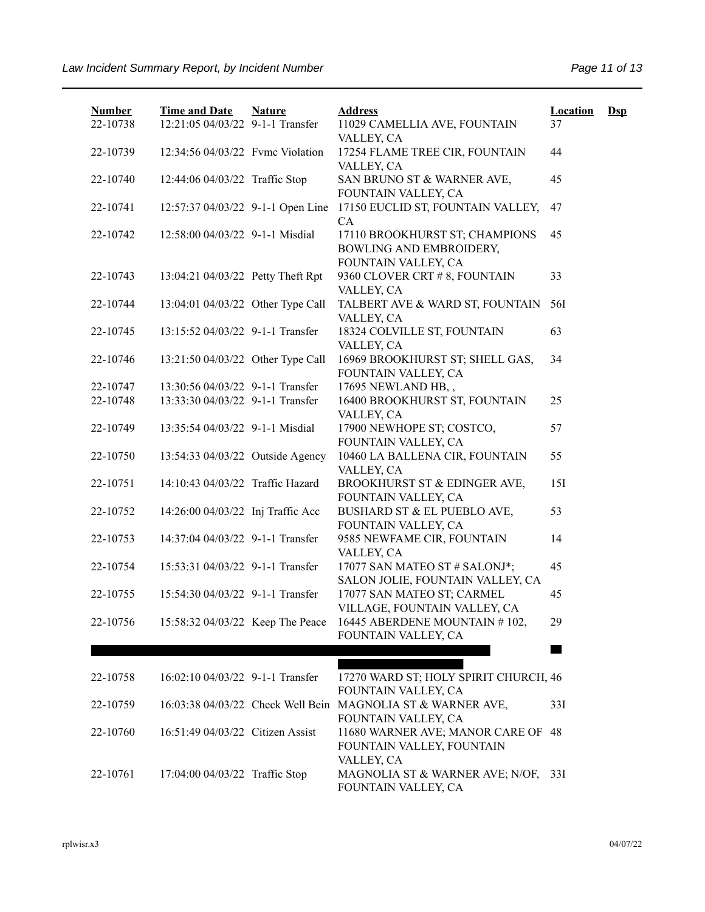| <b>Number</b><br>22-10738 | <b>Time and Date</b><br>12:21:05 04/03/22 9-1-1 Transfer | <b>Nature</b> | <b>Address</b><br>11029 CAMELLIA AVE, FOUNTAIN<br>VALLEY, CA                     | <b>Location</b><br>37 | $\mathbf{Dsp}$ |
|---------------------------|----------------------------------------------------------|---------------|----------------------------------------------------------------------------------|-----------------------|----------------|
| 22-10739                  | 12:34:56 04/03/22 Fvmc Violation                         |               | 17254 FLAME TREE CIR, FOUNTAIN<br>VALLEY, CA                                     | 44                    |                |
| 22-10740                  | 12:44:06 04/03/22 Traffic Stop                           |               | SAN BRUNO ST & WARNER AVE,<br>FOUNTAIN VALLEY, CA                                | 45                    |                |
| 22-10741                  | 12:57:37 04/03/22 9-1-1 Open Line                        |               | 17150 EUCLID ST, FOUNTAIN VALLEY,<br>CA                                          | 47                    |                |
| 22-10742                  | 12:58:00 04/03/22 9-1-1 Misdial                          |               | 17110 BROOKHURST ST; CHAMPIONS<br>BOWLING AND EMBROIDERY,<br>FOUNTAIN VALLEY, CA | 45                    |                |
| 22-10743                  | 13:04:21 04/03/22 Petty Theft Rpt                        |               | 9360 CLOVER CRT # 8, FOUNTAIN<br>VALLEY, CA                                      | 33                    |                |
| 22-10744                  | 13:04:01 04/03/22 Other Type Call                        |               | TALBERT AVE & WARD ST, FOUNTAIN<br>VALLEY, CA                                    | 56I                   |                |
| 22-10745                  | 13:15:52 04/03/22 9-1-1 Transfer                         |               | 18324 COLVILLE ST, FOUNTAIN<br>VALLEY, CA                                        | 63                    |                |
| 22-10746                  | 13:21:50 04/03/22 Other Type Call                        |               | 16969 BROOKHURST ST; SHELL GAS,<br>FOUNTAIN VALLEY, CA                           | 34                    |                |
| 22-10747                  | 13:30:56 04/03/22 9-1-1 Transfer                         |               | 17695 NEWLAND HB,,                                                               |                       |                |
| 22-10748                  | 13:33:30 04/03/22 9-1-1 Transfer                         |               | 16400 BROOKHURST ST, FOUNTAIN<br>VALLEY, CA                                      | 25                    |                |
| 22-10749                  | 13:35:54 04/03/22 9-1-1 Misdial                          |               | 17900 NEWHOPE ST; COSTCO,<br>FOUNTAIN VALLEY, CA                                 | 57                    |                |
| 22-10750                  | 13:54:33 04/03/22 Outside Agency                         |               | 10460 LA BALLENA CIR, FOUNTAIN<br>VALLEY, CA                                     | 55                    |                |
| 22-10751                  | 14:10:43 04/03/22 Traffic Hazard                         |               | BROOKHURST ST & EDINGER AVE,<br>FOUNTAIN VALLEY, CA                              | 151                   |                |
| 22-10752                  | 14:26:00 04/03/22 Inj Traffic Acc                        |               | BUSHARD ST & EL PUEBLO AVE,<br>FOUNTAIN VALLEY, CA                               | 53                    |                |
| 22-10753                  | 14:37:04 04/03/22 9-1-1 Transfer                         |               | 9585 NEWFAME CIR, FOUNTAIN<br>VALLEY, CA                                         | 14                    |                |
| 22-10754                  | 15:53:31 04/03/22 9-1-1 Transfer                         |               | 17077 SAN MATEO ST # SALONJ*;<br>SALON JOLIE, FOUNTAIN VALLEY, CA                | 45                    |                |
| 22-10755                  | 15:54:30 04/03/22 9-1-1 Transfer                         |               | 17077 SAN MATEO ST; CARMEL<br>VILLAGE, FOUNTAIN VALLEY, CA                       | 45                    |                |
| 22-10756                  | 15:58:32 04/03/22 Keep The Peace                         |               | 16445 ABERDENE MOUNTAIN #102,<br>FOUNTAIN VALLEY, CA                             | 29                    |                |
|                           |                                                          |               |                                                                                  |                       |                |
|                           |                                                          |               |                                                                                  |                       |                |
| 22-10758                  | 16:02:10 04/03/22 9-1-1 Transfer                         |               | 17270 WARD ST; HOLY SPIRIT CHURCH, 46<br>FOUNTAIN VALLEY, CA                     |                       |                |
| 22-10759                  | 16:03:38 04/03/22 Check Well Bein                        |               | MAGNOLIA ST & WARNER AVE,<br>FOUNTAIN VALLEY, CA                                 | 33I                   |                |
| 22-10760                  | 16:51:49 04/03/22 Citizen Assist                         |               | 11680 WARNER AVE; MANOR CARE OF<br>FOUNTAIN VALLEY, FOUNTAIN<br>VALLEY, CA       | 48                    |                |
| 22-10761                  | 17:04:00 04/03/22 Traffic Stop                           |               | MAGNOLIA ST & WARNER AVE; N/OF,<br>FOUNTAIN VALLEY, CA                           | 33I                   |                |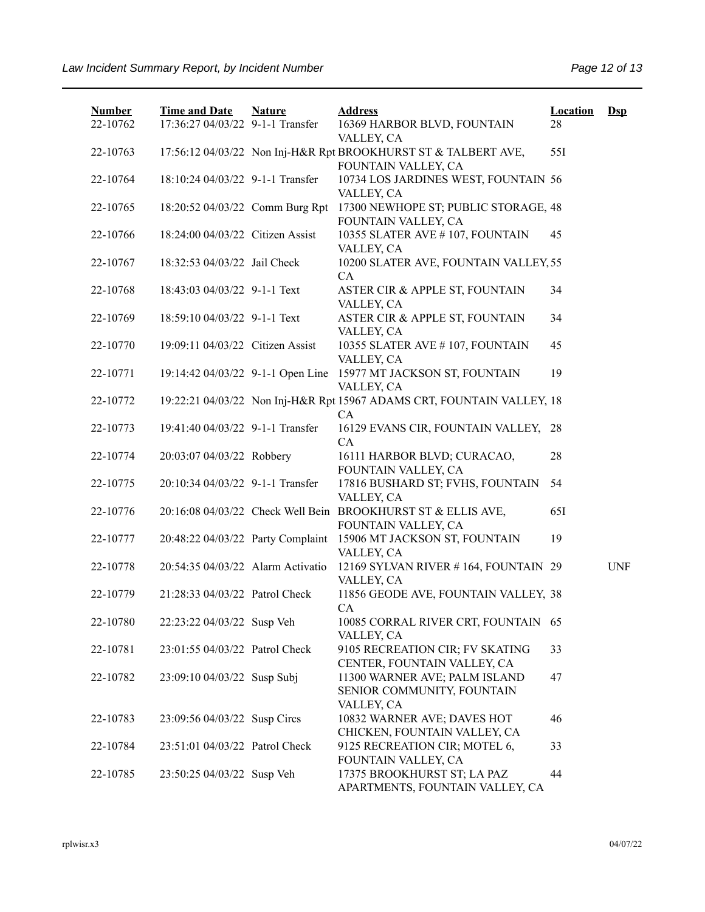| <b>Number</b> | <b>Time and Date</b>              | <b>Nature</b> | <b>Address</b>                                                                        | <b>Location</b> | $Dep$      |
|---------------|-----------------------------------|---------------|---------------------------------------------------------------------------------------|-----------------|------------|
| 22-10762      | 17:36:27 04/03/22 9-1-1 Transfer  |               | 16369 HARBOR BLVD, FOUNTAIN<br>VALLEY, CA                                             | 28              |            |
| 22-10763      |                                   |               | 17:56:12 04/03/22 Non Inj-H&R Rpt BROOKHURST ST & TALBERT AVE,<br>FOUNTAIN VALLEY, CA | 551             |            |
| 22-10764      | 18:10:24 04/03/22 9-1-1 Transfer  |               | 10734 LOS JARDINES WEST, FOUNTAIN 56<br>VALLEY, CA                                    |                 |            |
| 22-10765      | 18:20:52 04/03/22 Comm Burg Rpt   |               | 17300 NEWHOPE ST; PUBLIC STORAGE, 48<br>FOUNTAIN VALLEY, CA                           |                 |            |
| 22-10766      | 18:24:00 04/03/22 Citizen Assist  |               | 10355 SLATER AVE #107, FOUNTAIN<br>VALLEY, CA                                         | 45              |            |
| 22-10767      | 18:32:53 04/03/22 Jail Check      |               | 10200 SLATER AVE, FOUNTAIN VALLEY, 55<br>CA                                           |                 |            |
| 22-10768      | 18:43:03 04/03/22 9-1-1 Text      |               | ASTER CIR & APPLE ST, FOUNTAIN<br>VALLEY, CA                                          | 34              |            |
| 22-10769      | 18:59:10 04/03/22 9-1-1 Text      |               | ASTER CIR & APPLE ST, FOUNTAIN<br>VALLEY, CA                                          | 34              |            |
| 22-10770      | 19:09:11 04/03/22 Citizen Assist  |               | 10355 SLATER AVE #107, FOUNTAIN<br>VALLEY, CA                                         | 45              |            |
| 22-10771      | 19:14:42 04/03/22 9-1-1 Open Line |               | 15977 MT JACKSON ST, FOUNTAIN<br>VALLEY, CA                                           | 19              |            |
| 22-10772      |                                   |               | 19:22:21 04/03/22 Non Inj-H&R Rpt 15967 ADAMS CRT, FOUNTAIN VALLEY, 18<br>CA          |                 |            |
| 22-10773      | 19:41:40 04/03/22 9-1-1 Transfer  |               | 16129 EVANS CIR, FOUNTAIN VALLEY, 28<br>CA                                            |                 |            |
| 22-10774      | 20:03:07 04/03/22 Robbery         |               | 16111 HARBOR BLVD; CURACAO,<br>FOUNTAIN VALLEY, CA                                    | 28              |            |
| 22-10775      | 20:10:34 04/03/22 9-1-1 Transfer  |               | 17816 BUSHARD ST; FVHS, FOUNTAIN<br>VALLEY, CA                                        | 54              |            |
| 22-10776      |                                   |               | 20:16:08 04/03/22 Check Well Bein BROOKHURST ST & ELLIS AVE,<br>FOUNTAIN VALLEY, CA   | 65I             |            |
| 22-10777      | 20:48:22 04/03/22 Party Complaint |               | 15906 MT JACKSON ST, FOUNTAIN<br>VALLEY, CA                                           | 19              |            |
| 22-10778      | 20:54:35 04/03/22 Alarm Activatio |               | 12169 SYLVAN RIVER #164, FOUNTAIN 29<br>VALLEY, CA                                    |                 | <b>UNF</b> |
| 22-10779      | 21:28:33 04/03/22 Patrol Check    |               | 11856 GEODE AVE, FOUNTAIN VALLEY, 38<br>CA                                            |                 |            |
| 22-10780      | 22:23:22 04/03/22 Susp Veh        |               | 10085 CORRAL RIVER CRT, FOUNTAIN 65<br>VALLEY, CA                                     |                 |            |
| 22-10781      | 23:01:55 04/03/22 Patrol Check    |               | 9105 RECREATION CIR; FV SKATING<br>CENTER, FOUNTAIN VALLEY, CA                        | 33              |            |
| 22-10782      | 23:09:10 04/03/22 Susp Subj       |               | 11300 WARNER AVE; PALM ISLAND<br>SENIOR COMMUNITY, FOUNTAIN                           | 47              |            |
| 22-10783      | 23:09:56 04/03/22 Susp Circs      |               | VALLEY, CA<br>10832 WARNER AVE; DAVES HOT<br>CHICKEN, FOUNTAIN VALLEY, CA             | 46              |            |
| 22-10784      | 23:51:01 04/03/22 Patrol Check    |               | 9125 RECREATION CIR; MOTEL 6,<br>FOUNTAIN VALLEY, CA                                  | 33              |            |
| 22-10785      | 23:50:25 04/03/22 Susp Veh        |               | 17375 BROOKHURST ST; LA PAZ<br>APARTMENTS, FOUNTAIN VALLEY, CA                        | 44              |            |